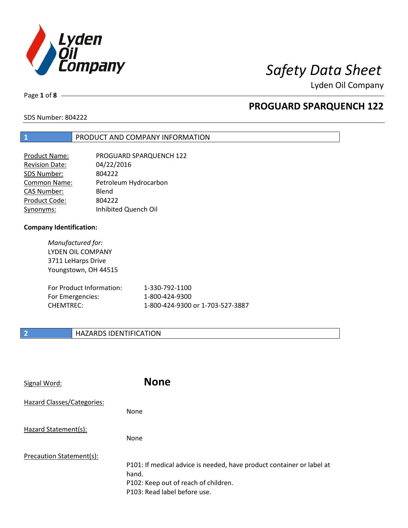

Page **1** of **8**

## **PROGUARD SPARQUENCH 122**

SDS Number: 804222

## **1** PRODUCT AND COMPANY INFORMATION

| <b>Product Name:</b>  | PROGUARD SPARQUENCH 122 |
|-----------------------|-------------------------|
| <b>Revision Date:</b> | 04/22/2016              |
| SDS Number:           | 804222                  |
| Common Name:          | Petroleum Hydrocarbon   |
| <b>CAS Number:</b>    | Blend                   |
| Product Code:         | 804222                  |
| Synonyms:             | Inhibited Quench Oil    |

### **Company Identification:**

*Manufactured for:* LYDEN OIL COMPANY 3711 LeHarps Drive Youngstown, OH 44515

| For Product Information: | 1-330-792-1100                   |
|--------------------------|----------------------------------|
| For Emergencies:         | 1-800-424-9300                   |
| CHEMTREC:                | 1-800-424-9300 or 1-703-527-3887 |

## **2 HAZARDS IDENTIFICATION**

| Signal Word:                      | <b>None</b>                                                                                                                                            |
|-----------------------------------|--------------------------------------------------------------------------------------------------------------------------------------------------------|
| <b>Hazard Classes/Categories:</b> | None                                                                                                                                                   |
| Hazard Statement(s):              | <b>None</b>                                                                                                                                            |
| Precaution Statement(s):          | P101: If medical advice is needed, have product container or label at<br>hand.<br>P102: Keep out of reach of children.<br>P103: Read label before use. |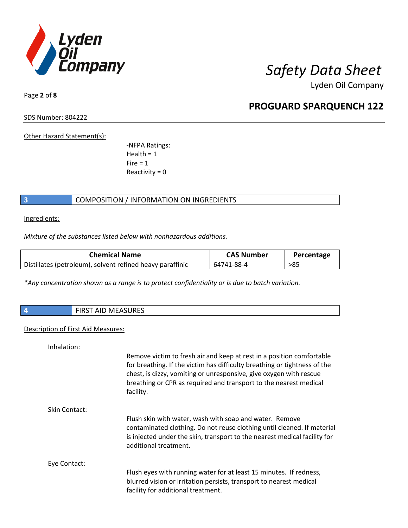

Page **2** of **8**

## **PROGUARD SPARQUENCH 122**

SDS Number: 804222

Other Hazard Statement(s):

-NFPA Ratings:  $Health = 1$  $Fire = 1$ Reactivity  $= 0$ 

## **3** COMPOSITION / INFORMATION ON INGREDIENTS

Ingredients:

*Mixture of the substances listed below with nonhazardous additions.*

| <b>Chemical Name</b>                                      | <b>CAS Number</b> | Percentage |
|-----------------------------------------------------------|-------------------|------------|
| Distillates (petroleum), solvent refined heavy paraffinic | 64741-88-4        | >85        |

*\*Any concentration shown as a range is to protect confidentiality or is due to batch variation.*

| 1 A J | AID MEACHDEC<br>$.$ $FIDCT$<br>RJUKES<br><b>IVIFA</b> |
|-------|-------------------------------------------------------|
|       |                                                       |

## Description of First Aid Measures:

| Inhalation:   |                                                                                                                                                                                                                                                                                                            |
|---------------|------------------------------------------------------------------------------------------------------------------------------------------------------------------------------------------------------------------------------------------------------------------------------------------------------------|
|               | Remove victim to fresh air and keep at rest in a position comfortable<br>for breathing. If the victim has difficulty breathing or tightness of the<br>chest, is dizzy, vomiting or unresponsive, give oxygen with rescue<br>breathing or CPR as required and transport to the nearest medical<br>facility. |
| Skin Contact: |                                                                                                                                                                                                                                                                                                            |
|               | Flush skin with water, wash with soap and water. Remove<br>contaminated clothing. Do not reuse clothing until cleaned. If material<br>is injected under the skin, transport to the nearest medical facility for<br>additional treatment.                                                                   |
| Eye Contact:  |                                                                                                                                                                                                                                                                                                            |
|               | Flush eyes with running water for at least 15 minutes. If redness,<br>blurred vision or irritation persists, transport to nearest medical<br>facility for additional treatment.                                                                                                                            |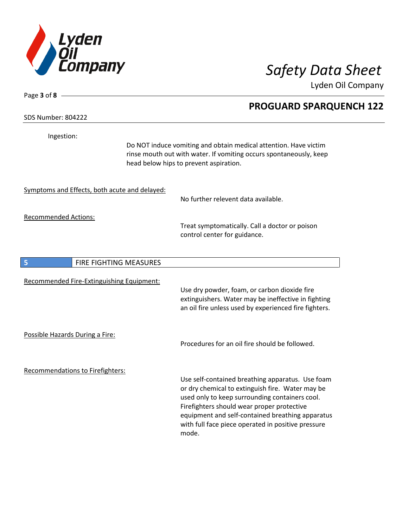

SDS Number: 804222

Page **3** of **8**

Ingestion:

Do NOT induce vomiting and obtain medical attention. Have victim rinse mouth out with water. If vomiting occurs spontaneously, keep head below hips to prevent aspiration.

Symptoms and Effects, both acute and delayed:

No further relevent data available.

Recommended Actions:

Treat symptomatically. Call a doctor or poison control center for guidance.

| 5                               | <b>FIRE FIGHTING MEASURES</b>             |                                                                                                                                                                                                                                                                                                                |
|---------------------------------|-------------------------------------------|----------------------------------------------------------------------------------------------------------------------------------------------------------------------------------------------------------------------------------------------------------------------------------------------------------------|
|                                 | Recommended Fire-Extinguishing Equipment: | Use dry powder, foam, or carbon dioxide fire<br>extinguishers. Water may be ineffective in fighting<br>an oil fire unless used by experienced fire fighters.                                                                                                                                                   |
| Possible Hazards During a Fire: |                                           | Procedures for an oil fire should be followed.                                                                                                                                                                                                                                                                 |
|                                 | <b>Recommendations to Firefighters:</b>   | Use self-contained breathing apparatus. Use foam<br>or dry chemical to extinguish fire. Water may be<br>used only to keep surrounding containers cool.<br>Firefighters should wear proper protective<br>equipment and self-contained breathing apparatus<br>with full face piece operated in positive pressure |

mode.

## **PROGUARD SPARQUENCH 122**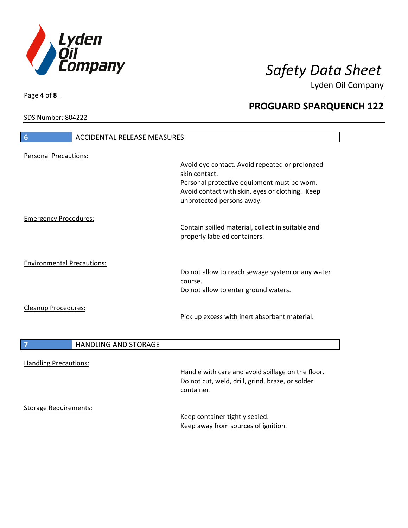

SDS Number: 804222

Page **4** of **8**

## **PROGUARD SPARQUENCH 122**

| $6\phantom{1}6$<br><b>ACCIDENTAL RELEASE MEASURES</b> |                                                                                                                             |
|-------------------------------------------------------|-----------------------------------------------------------------------------------------------------------------------------|
| <b>Personal Precautions:</b>                          |                                                                                                                             |
|                                                       | Avoid eye contact. Avoid repeated or prolonged<br>skin contact.                                                             |
|                                                       | Personal protective equipment must be worn.<br>Avoid contact with skin, eyes or clothing. Keep<br>unprotected persons away. |
| <b>Emergency Procedures:</b>                          |                                                                                                                             |
|                                                       | Contain spilled material, collect in suitable and<br>properly labeled containers.                                           |
| <b>Environmental Precautions:</b>                     |                                                                                                                             |
|                                                       | Do not allow to reach sewage system or any water<br>course.                                                                 |
|                                                       | Do not allow to enter ground waters.                                                                                        |
| <b>Cleanup Procedures:</b>                            |                                                                                                                             |
|                                                       | Pick up excess with inert absorbant material.                                                                               |
| <b>HANDLING AND STORAGE</b><br>$\overline{7}$         |                                                                                                                             |
|                                                       |                                                                                                                             |
| <b>Handling Precautions:</b>                          |                                                                                                                             |
|                                                       | Handle with care and avoid spillage on the floor.<br>Do not cut, weld, drill, grind, braze, or solder<br>container.         |
| <b>Storage Requirements:</b>                          | Keep container tightly sealed.<br>Keep away from sources of ignition.                                                       |
|                                                       |                                                                                                                             |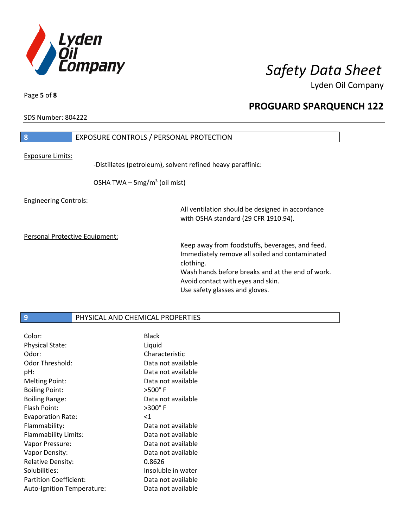

SDS Number: 804222

Page **5** of **8**

## **PROGUARD SPARQUENCH 122**

# **8** EXPOSURE CONTROLS / PERSONAL PROTECTION

Exposure Limits:

-Distillates (petroleum), solvent refined heavy paraffinic:

OSHA TWA  $-$  5mg/m<sup>3</sup> (oil mist)

Engineering Controls:

All ventilation should be designed in accordance with OSHA standard (29 CFR 1910.94).

Personal Protective Equipment:

Keep away from foodstuffs, beverages, and feed. Immediately remove all soiled and contaminated clothing. Wash hands before breaks and at the end of work. Avoid contact with eyes and skin. Use safety glasses and gloves.

### **9** PHYSICAL AND CHEMICAL PROPERTIES

| Color:                        | <b>Black</b>       |
|-------------------------------|--------------------|
| <b>Physical State:</b>        | Liquid             |
| Odor:                         | Characteristic     |
| Odor Threshold:               | Data not available |
| pH:                           | Data not available |
| <b>Melting Point:</b>         | Data not available |
| <b>Boiling Point:</b>         | $>500^\circ$ F     |
| <b>Boiling Range:</b>         | Data not available |
| Flash Point:                  | $>300^\circ$ F     |
|                               |                    |
| <b>Evaporation Rate:</b>      | ${<}1$             |
| Flammability:                 | Data not available |
| Flammability Limits:          | Data not available |
| Vapor Pressure:               | Data not available |
| Vapor Density:                | Data not available |
| <b>Relative Density:</b>      | 0.8626             |
| Solubilities:                 | Insoluble in water |
| <b>Partition Coefficient:</b> | Data not available |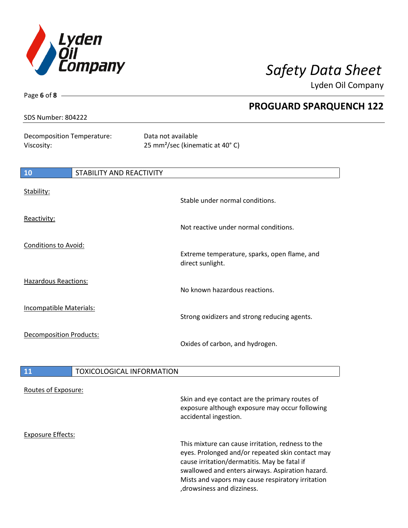

Page **6** of **8**

Lyden Oil Company

| <b>SDS Number: 804222</b>                | <b>PROGUARD SPARQUENCH 122</b>                                    |
|------------------------------------------|-------------------------------------------------------------------|
|                                          |                                                                   |
| Decomposition Temperature:<br>Viscosity: | Data not available<br>25 mm <sup>2</sup> /sec (kinematic at 40°C) |
| <b>10</b><br>STABILITY AND REACTIVITY    |                                                                   |
| Stability:                               | Stable under normal conditions.                                   |
| Reactivity:                              | Not reactive under normal conditions.                             |
| <b>Conditions to Avoid:</b>              | Extreme temperature, sparks, open flame, and<br>direct sunlight.  |
| <b>Hazardous Reactions:</b>              | No known hazardous reactions.                                     |
| Incompatible Materials:                  | Strong oxidizers and strong reducing agents.                      |
| <b>Decomposition Products:</b>           | Oxides of carbon, and hydrogen.                                   |
| <b>TOXICOLOGICAL INFORMATION</b><br>11   |                                                                   |

|  | Routes of Exposure: |
|--|---------------------|
|  |                     |

| Routes of Exposure: |                                                                                                                                                                                                           |
|---------------------|-----------------------------------------------------------------------------------------------------------------------------------------------------------------------------------------------------------|
|                     | Skin and eye contact are the primary routes of<br>exposure although exposure may occur following<br>accidental ingestion.                                                                                 |
| Exposure Effects:   |                                                                                                                                                                                                           |
|                     | This mixture can cause irritation, redness to the<br>eyes. Prolonged and/or repeated skin contact may<br>cause irritation/dermatitis. May be fatal if<br>swallowed and enters airways. Aspiration hazard. |
|                     | Mists and vapors may cause respiratory irritation<br>, drowsiness and dizziness.                                                                                                                          |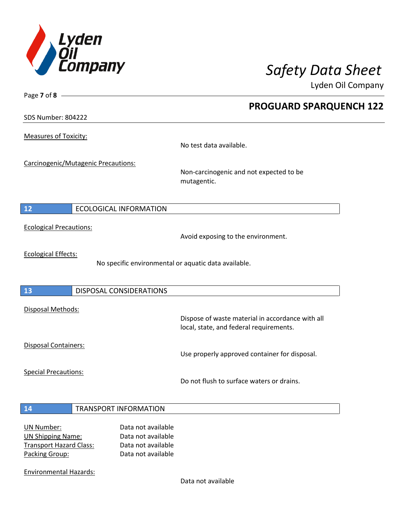

**PROGUARD SPARQUENCH 122**

Lyden Oil Company

SDS Number: 804222

Page **7** of **8**

Measures of Toxicity:

No test data available.

Carcinogenic/Mutagenic Precautions:

Non-carcinogenic and not expected to be mutagentic.

## **12** ECOLOGICAL INFORMATION

Ecological Precautions:

Avoid exposing to the environment.

Ecological Effects:

No specific environmental or aquatic data available.

### **13** DISPOSAL CONSIDERATIONS

Disposal Methods:

Disposal Containers:

Use properly approved container for disposal.

Dispose of waste material in accordance with all

Special Precautions:

Do not flush to surface waters or drains.

local, state, and federal requirements.

### **14** TRANSPORT INFORMATION

| Data not available |
|--------------------|
| Data not available |
| Data not available |
| Data not available |
|                    |

Environmental Hazards:

Data not available